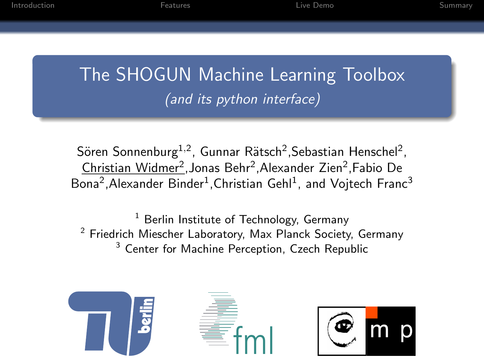[Introduction](#page-2-0) [Features](#page-5-0) [Live Demo](#page-8-0) [Summary](#page-9-0)

The SHOGUN Machine Learning Toolbox (and its python interface)

Sören Sonnenburg $^{1,2}$ , Gunnar Rätsch<sup>2</sup>,Sebastian Henschel<sup>2</sup>, <u>Christian Widmer<sup>2</sup>,</u>Jonas Behr<sup>2</sup>,Alexander Zien<sup>2</sup>,Fabio De Bona<sup>2</sup>, Alexander Binder<sup>1</sup>, Christian Gehl<sup>1</sup>, and Vojtech Franc<sup>3</sup>

Berlin Institute of Technology, Germany <sup>2</sup> Friedrich Miescher Laboratory, Max Planck Society, Germany <sup>3</sup> Center for Machine Perception, Czech Republic





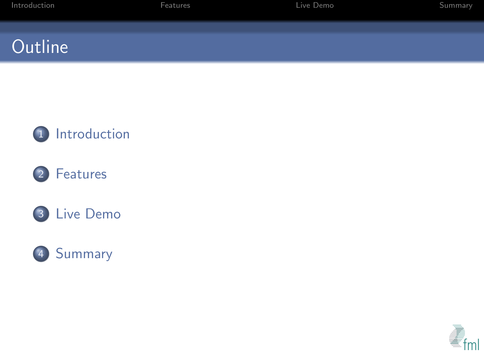| Introduction | Features | Live Demo | Summary |
|--------------|----------|-----------|---------|
|              |          |           |         |
|              |          |           |         |
| Outline      |          |           |         |









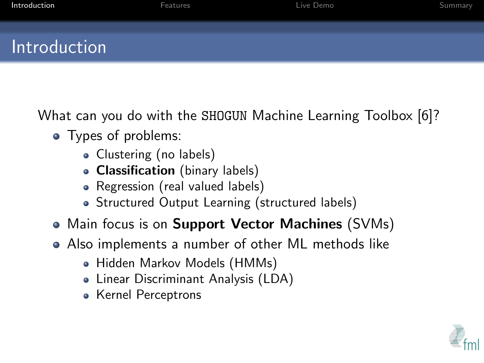| Introduction | Features | Live Demo | Summary |
|--------------|----------|-----------|---------|
| Introduction |          |           |         |

What can you do with the SHOGUN Machine Learning Toolbox [\[6\]](#page-12-0)?

- Types of problems:
	- Clustering (no labels)
	- Classification (binary labels)
	- Regression (real valued labels)
	- Structured Output Learning (structured labels)
- Main focus is on **Support Vector Machines** (SVMs)
- <span id="page-2-0"></span>Also implements a number of other ML methods like
	- Hidden Markov Models (HMMs)
	- Linear Discriminant Analysis (LDA)
	- Kernel Perceptrons

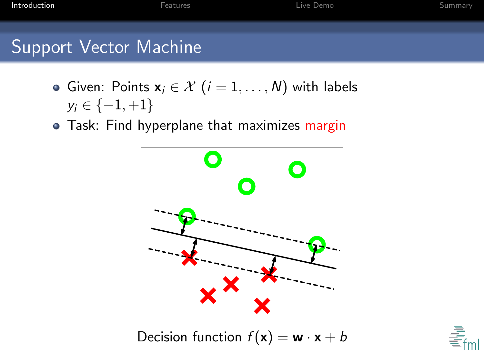# Support Vector Machine

- Given: Points  $x_i \in \mathcal{X}$   $(i = 1, \ldots, N)$  with labels  $y_i \in \{-1, +1\}$
- Task: Find hyperplane that maximizes margin



Decision function  $f(\mathbf{x}) = \mathbf{w} \cdot \mathbf{x} + b$ 

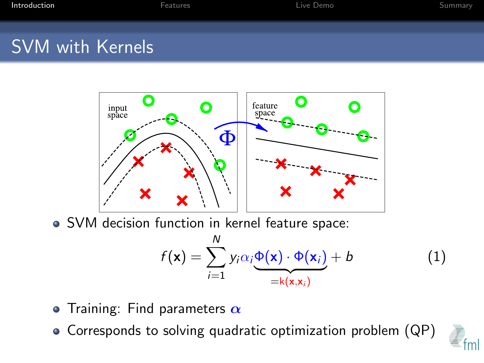### SVM with Kernels



SVM decision function in kernel feature space:

$$
f(\mathbf{x}) = \sum_{i=1}^{N} y_i \alpha_i \underbrace{\Phi(\mathbf{x}) \cdot \Phi(\mathbf{x}_i)}_{=k(\mathbf{x}, \mathbf{x}_i)} + b
$$
 (1)

- Training: Find parameters  $\alpha$
- Corresponds to solving quadratic optimization problem (QP)

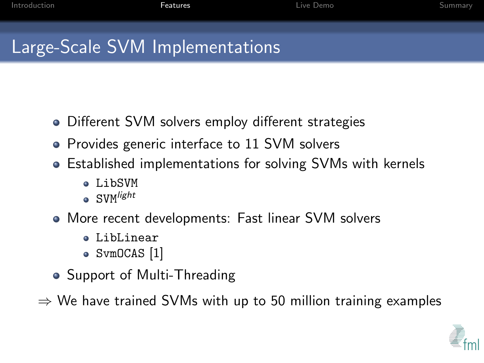## Large-Scale SVM Implementations

- Different SVM solvers employ different strategies
- Provides generic interface to 11 SVM solvers
- Established implementations for solving SVMs with kernels
	- $\bullet$  LibSVM
	- $\bullet$  SVM $^{light}$
- More recent developments: Fast linear SVM solvers
	- LibLinear
	- SvmOCAS [\[1\]](#page-11-0)
- Support of Multi-Threading

<span id="page-5-0"></span> $\Rightarrow$  We have trained SVMs with up to 50 million training examples

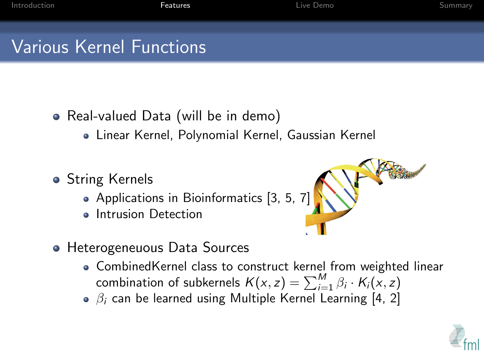# Various Kernel Functions

- Real-valued Data (will be in demo)
	- Linear Kernel, Polynomial Kernel, Gaussian Kernel
- String Kernels
	- Applications in Bioinformatics [\[3,](#page-11-1) [5,](#page-12-1) [7\]](#page-12-2)
	- Intrusion Detection
- **Heterogeneuous Data Sources** 
	- CombinedKernel class to construct kernel from weighted linear combination of subkernels  $K(x, z) = \sum_{i=1}^{M} \beta_i \cdot K_i(x, z)$
	- $\beta_i$  can be learned using Multiple Kernel Learning [\[4,](#page-11-2) [2\]](#page-11-3)

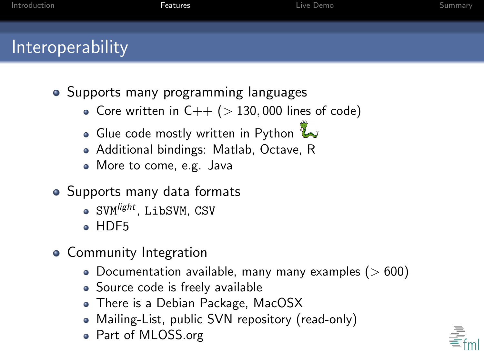## **Interoperability**

- Supports many programming languages
	- Core written in  $C++$  ( $> 130,000$  lines of code)
	- Glue code mostly written in Python  $\mathbb{Z}$
	- Additional bindings: Matlab, Octave, R
	- More to come, e.g. Java
- Supports many data formats
	- SVM<sup>light</sup>, LibSVM, CSV
	- $\bullet$  HDF5
- Community Integration
	- $\bullet$  Documentation available, many many examples ( $>600$ )
	- Source code is freely available
	- There is a Debian Package, MacOSX
	- Mailing-List, public SVN repository (read-only)
	- Part of MLOSS.org

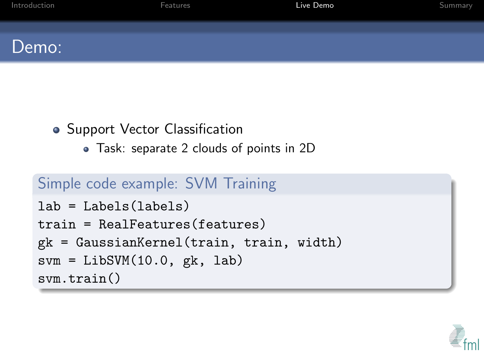| Introduction | Features | Live Demo | Summary |
|--------------|----------|-----------|---------|
| Demo:        |          |           |         |

### • Support Vector Classification

Task: separate 2 clouds of points in 2D

### Simple code example: SVM Training

```
lab = Labels(labels)
train = RealFeatures(features)
gk = GaussianKernel(train, train, width)
svm = LibSVM(10.0, gk, lab)
svm.train()
```
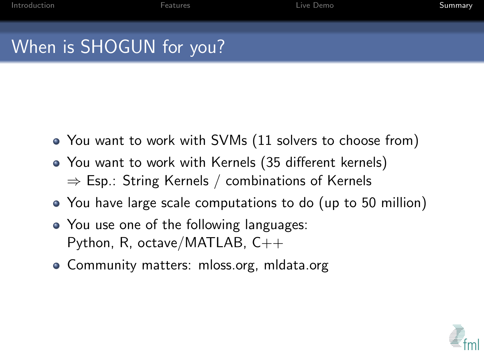# When is SHOGUN for you?

- You want to work with SVMs (11 solvers to choose from)
- You want to work with Kernels (35 different kernels)  $\Rightarrow$  Esp.: String Kernels / combinations of Kernels
- You have large scale computations to do (up to 50 million)
- You use one of the following languages: Python, R, octave/MATLAB,  $C_{++}$
- <span id="page-9-0"></span>• Community matters: mloss.org, mldata.org

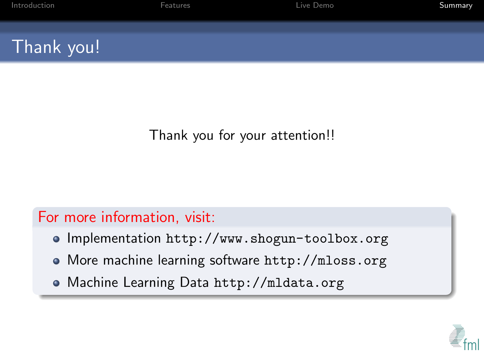| Introduction | Features | Live Demo | Summary |
|--------------|----------|-----------|---------|
| Thank you!   |          |           |         |

### Thank you for your attention!!

### For more information, visit:

- Implementation <http://www.shogun-toolbox.org>
- More machine learning software <http://mloss.org>
- Machine Learning Data <http://mldata.org>

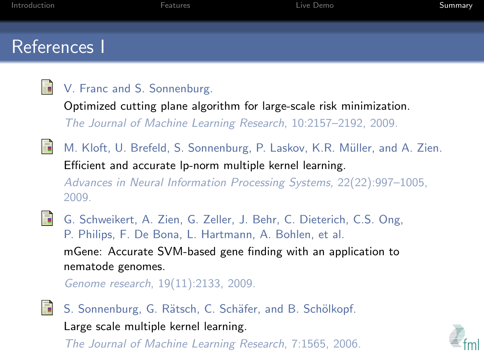### References I

<span id="page-11-0"></span>畐

#### V. Franc and S. Sonnenburg.

Optimized cutting plane algorithm for large-scale risk minimization. The Journal of Machine Learning Research, 10:2157–2192, 2009.

<span id="page-11-3"></span>ã M. Kloft, U. Brefeld, S. Sonnenburg, P. Laskov, K.R. Müller, and A. Zien. Efficient and accurate lp-norm multiple kernel learning. Advances in Neural Information Processing Systems, 22(22):997–1005,

2009.

<span id="page-11-1"></span>

G. Schweikert, A. Zien, G. Zeller, J. Behr, C. Dieterich, C.S. Ong, P. Philips, F. De Bona, L. Hartmann, A. Bohlen, et al.

mGene: Accurate SVM-based gene finding with an application to nematode genomes.

Genome research, 19(11):2133, 2009.

<span id="page-11-2"></span>

S. Sonnenburg, G. Rätsch, C. Schäfer, and B. Schölkopf.

Large scale multiple kernel learning.

The Journal of Machine Learning Research, 7:1565, 2006.